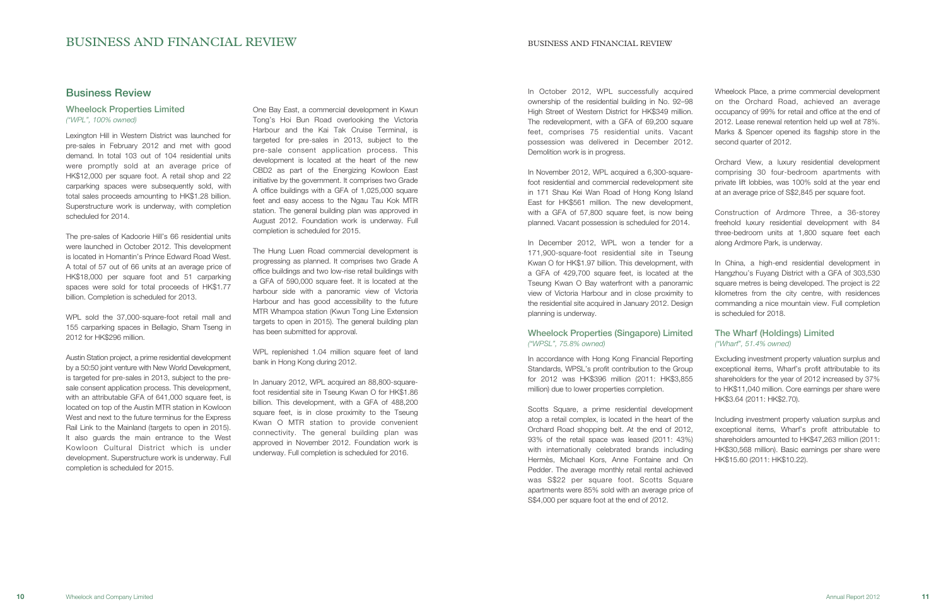# BUSINESS AND FINANCIAL REVIEW BUSINESS AND FINANCIAL REVIEW

# Business Review

# Wheelock Properties Limited ("WPL", 100% owned)

Lexington Hill in Western District was launched for pre-sales in February 2012 and met with good demand. In total 103 out of 104 residential units were promptly sold at an average price of HK\$12,000 per square foot. A retail shop and 22 carparking spaces were subsequently sold, with total sales proceeds amounting to HK\$1.28 billion. Superstructure work is underway, with completion scheduled for 2014.

The pre-sales of Kadoorie Hill's 66 residential units were launched in October 2012. This development is located in Homantin's Prince Edward Road West. A total of 57 out of 66 units at an average price of HK\$18,000 per square foot and 51 carparking spaces were sold for total proceeds of HK\$1.77 billion. Completion is scheduled for 2013.

WPL sold the 37,000-square-foot retail mall and 155 carparking spaces in Bellagio, Sham Tseng in 2012 for HK\$296 million.

Austin Station project, a prime residential development by a 50:50 joint venture with New World Development, is targeted for pre-sales in 2013, subject to the presale consent application process. This development, with an attributable GFA of 641,000 square feet, is located on top of the Austin MTR station in Kowloon West and next to the future terminus for the Express Rail Link to the Mainland (targets to open in 2015). It also guards the main entrance to the West Kowloon Cultural District which is under development. Superstructure work is underway. Full completion is scheduled for 2015.

One Bay East, a commercial development in Kwun Tong's Hoi Bun Road overlooking the Victoria Harbour and the Kai Tak Cruise Terminal, is targeted for pre-sales in 2013, subject to the pre-sale consent application process. This development is located at the heart of the new CBD2 as part of the Energizing Kowloon East initiative by the government. It comprises two Grade A office buildings with a GFA of 1,025,000 square feet and easy access to the Ngau Tau Kok MTR station. The general building plan was approved in August 2012. Foundation work is underway. Full completion is scheduled for 2015.

The Hung Luen Road commercial development is progressing as planned. It comprises two Grade A office buildings and two low-rise retail buildings with a GFA of 590,000 square feet. It is located at the harbour side with a panoramic view of Victoria Harbour and has good accessibility to the future MTR Whampoa station (Kwun Tong Line Extension targets to open in 2015). The general building plan has been submitted for approval.

WPL replenished 1.04 million square feet of land bank in Hong Kong during 2012.

In January 2012, WPL acquired an 88,800-squarefoot residential site in Tseung Kwan O for HK\$1.86 billion. This development, with a GFA of 488,200 square feet, is in close proximity to the Tseung Kwan O MTR station to provide convenient connectivity. The general building plan was approved in November 2012. Foundation work is underway. Full completion is scheduled for 2016.

In October 2012, WPL successfully acquired ownership of the residential building in No. 92–98 High Street of Western District for HK\$349 million. The redevelopment, with a GFA of 69,200 square feet, comprises 75 residential units. Vacant possession was delivered in December 2012. Demolition work is in progress.

In November 2012, WPL acquired a 6,300-squarefoot residential and commercial redevelopment site in 171 Shau Kei Wan Road of Hong Kong Island East for HK\$561 million. The new development, with a GFA of 57,800 square feet, is now being planned. Vacant possession is scheduled for 2014.

In December 2012, WPL won a tender for a 171,900-square-foot residential site in Tseung Kwan O for HK\$1.97 billion. This development, with a GFA of 429,700 square feet, is located at the Tseung Kwan O Bay waterfront with a panoramic view of Victoria Harbour and in close proximity to the residential site acquired in January 2012. Design planning is underway.

# Wheelock Properties (Singapore) Limited ("WPSL", 75.8% owned)

In accordance with Hong Kong Financial Reporting Standards, WPSL's profit contribution to the Group for 2012 was HK\$396 million (2011: HK\$3,855 million) due to lower properties completion.

Scotts Square, a prime residential development atop a retail complex, is located in the heart of the Orchard Road shopping belt. At the end of 2012, 93% of the retail space was leased (2011: 43%) with internationally celebrated brands including Hermès, Michael Kors, Anne Fontaine and On Pedder. The average monthly retail rental achieved was S\$22 per square foot. Scotts Square apartments were 85% sold with an average price of S\$4,000 per square foot at the end of 2012.

Wheelock Place, a prime commercial development on the Orchard Road, achieved an average occupancy of 99% for retail and office at the end of 2012. Lease renewal retention held up well at 78%. Marks & Spencer opened its flagship store in the second quarter of 2012.

Orchard View, a luxury residential development comprising 30 four-bedroom apartments with private lift lobbies, was 100% sold at the year end at an average price of S\$2,845 per square foot.

Construction of Ardmore Three, a 36-storey freehold luxury residential development with 84 three-bedroom units at 1,800 square feet each along Ardmore Park, is underway.

In China, a high-end residential development in Hangzhou's Fuyang District with a GFA of 303,530 square metres is being developed. The project is 22 kilometres from the city centre, with residences commanding a nice mountain view. Full completion is scheduled for 2018.

# The Wharf (Holdings) Limited ("Wharf", 51.4% owned)

Excluding investment property valuation surplus and exceptional items, Wharf's profit attributable to its shareholders for the year of 2012 increased by 37% to HK\$11,040 million. Core earnings per share were HK\$3.64 (2011: HK\$2.70).

Including investment property valuation surplus and exceptional items, Wharf's profit attributable to shareholders amounted to HK\$47,263 million (2011: HK\$30,568 million). Basic earnings per share were HK\$15.60 (2011: HK\$10.22).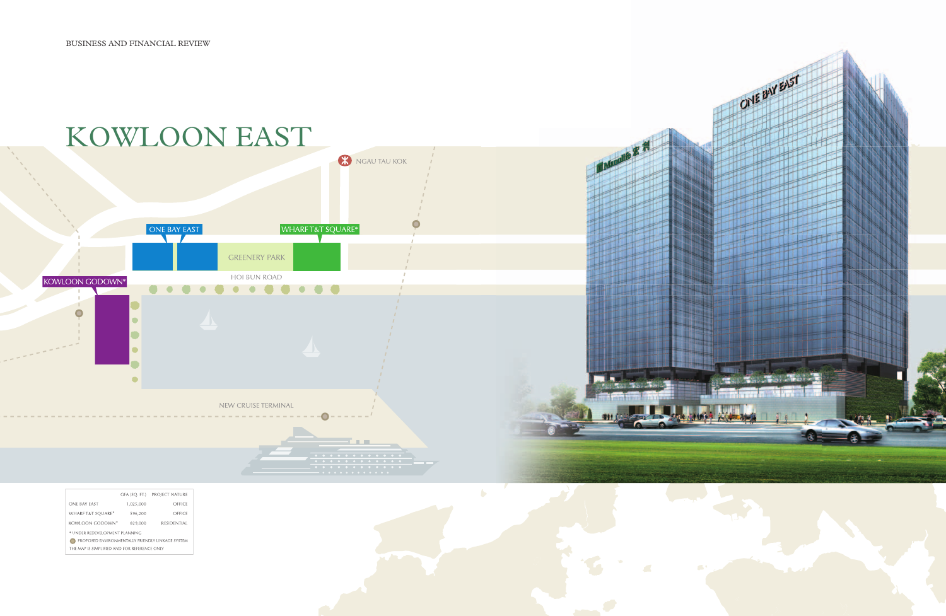

|                                                  | GFA (SQ. FT.) | PROJECT NATURE     |  |  |
|--------------------------------------------------|---------------|--------------------|--|--|
| ONE BAY EAST                                     | 1,025,000     | OFFICE             |  |  |
| <b>WHARF T&amp;T SOUARE*</b>                     | 596,200       | OFFICE             |  |  |
| KOWLOON GODOWN*                                  | 829.000       | <b>RESIDENTIAL</b> |  |  |
| * UNDER REDEVELOPMENT PLANNING                   |               |                    |  |  |
| PROPOSED ENVIRONMENTALLY FRIENDLY LINKAGE SYSTEM |               |                    |  |  |
| THE MAP IS SIMPLIFIED AND FOR REFERENCE ONLY     |               |                    |  |  |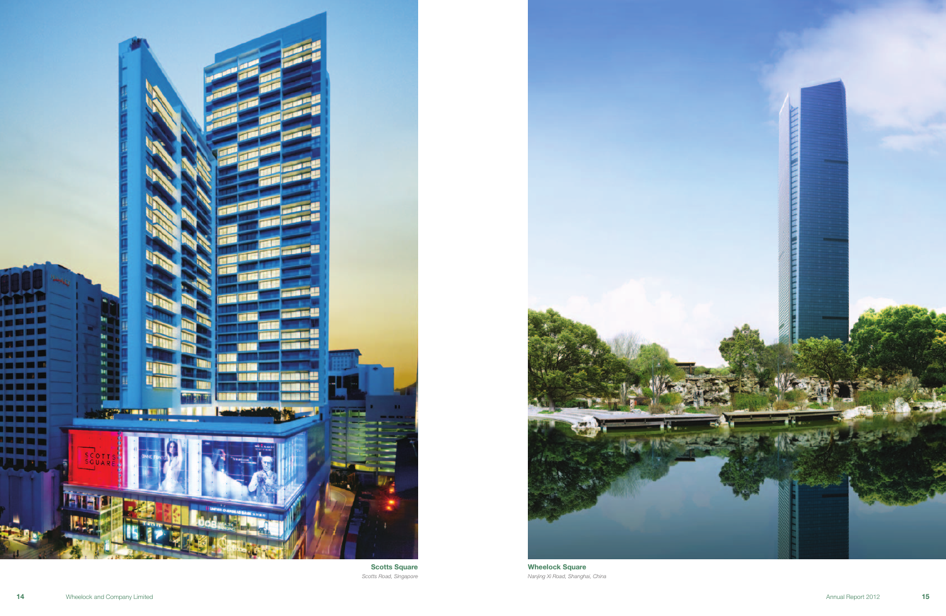



Scotts Square Scotts Road, Singapore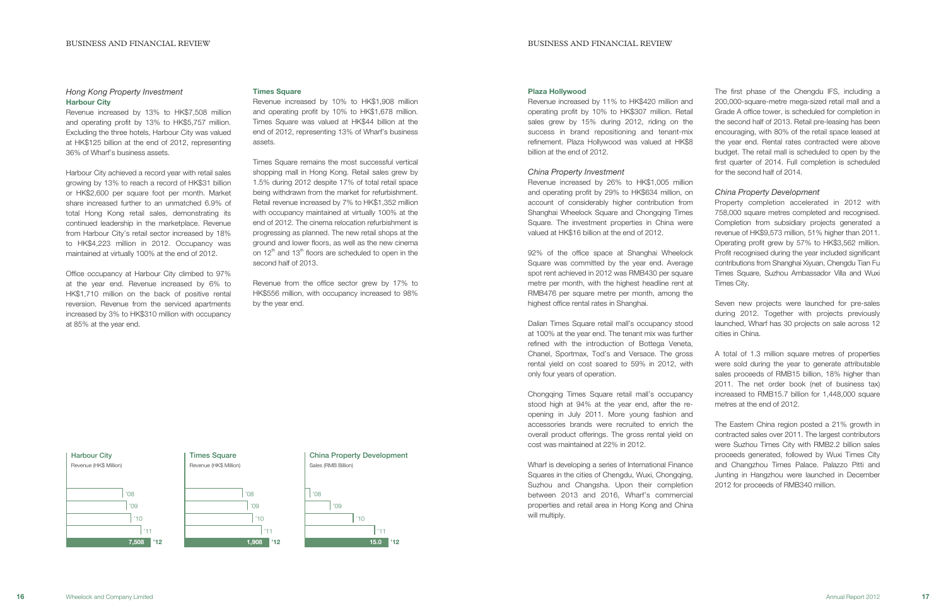#### Plaza Hollywood

Revenue increased by 11% to HK\$420 million and operating profit by 10% to HK\$307 million. Retail sales grew by 15% during 2012, riding on the success in brand repositioning and tenant-mix refinement. Plaza Hollywood was valued at HK\$8 billion at the end of 2012.

#### China Property Investment

Revenue increased by 26% to HK\$1,005 million and operating profit by 29% to HK\$634 million, on account of considerably higher contribution from Shanghai Wheelock Square and Chongqing Times Square. The investment properties in China were valued at HK\$16 billion at the end of 2012.

92% of the office space at Shanghai Wheelock Square was committed by the year end. Average spot rent achieved in 2012 was RMB430 per square metre per month, with the highest headline rent at RMB476 per square metre per month, among the highest office rental rates in Shanghai.

#### $|^{,08}$  $\, \cdot \, 09$  $|_{10}$  $|^{111}$ 15.0 '12 China Property Development Sales (RMB Billion) **Times Square** Revenue (HK\$ Million) '08  $|\cdot_{\cap\Omega}$ '10 '11 1,908 '12 '08 '09 '10 '11 7,508 '12 **Harbour City** Revenue (HK\$ Million)

Dalian Times Square retail mall's occupancy stood at 100% at the year end. The tenant mix was further refined with the introduction of Bottega Veneta, Chanel, Sportmax, Tod's and Versace. The gross rental yield on cost soared to 59% in 2012, with only four years of operation.

Chongqing Times Square retail mall's occupancy stood high at 94% at the year end, after the reopening in July 2011. More young fashion and accessories brands were recruited to enrich the overall product offerings. The gross rental yield on cost was maintained at 22% in 2012.

Wharf is developing a series of International Finance Squares in the cities of Chengdu, Wuxi, Chongqing, Suzhou and Changsha. Upon their completion between 2013 and 2016, Wharf's commercial properties and retail area in Hong Kong and China will multiply.

# Hong Kong Property Investment Harbour City

Revenue increased by 13% to HK\$7,508 million and operating profit by 13% to HK\$5,757 million. Excluding the three hotels, Harbour City was valued at HK\$125 billion at the end of 2012, representing 36% of Wharf's business assets.

Harbour City achieved a record year with retail sales growing by 13% to reach a record of HK\$31 billion or HK\$2,600 per square foot per month. Market share increased further to an unmatched 6.9% of total Hong Kong retail sales, demonstrating its continued leadership in the marketplace. Revenue from Harbour City's retail sector increased by 18% to HK\$4,223 million in 2012. Occupancy was maintained at virtually 100% at the end of 2012.

Office occupancy at Harbour City climbed to 97% at the year end. Revenue increased by 6% to HK\$1,710 million on the back of positive rental reversion. Revenue from the serviced apartments increased by 3% to HK\$310 million with occupancy at 85% at the year end.

#### Times Square

Revenue increased by 10% to HK\$1,908 million and operating profit by 10% to HK\$1,678 million. Times Square was valued at HK\$44 billion at the end of 2012, representing 13% of Wharf's business assets.

Times Square remains the most successful vertical shopping mall in Hong Kong. Retail sales grew by 1.5% during 2012 despite 17% of total retail space being withdrawn from the market for refurbishment. Retail revenue increased by 7% to HK\$1,352 million with occupancy maintained at virtually 100% at the end of 2012. The cinema relocation refurbishment is progressing as planned. The new retail shops at the ground and lower floors, as well as the new cinema on  $12<sup>th</sup>$  and  $13<sup>th</sup>$  floors are scheduled to open in the second half of 2013.

Revenue from the office sector grew by 17% to HK\$556 million, with occupancy increased to 98% by the year end.

The first phase of the Chengdu IFS, including a 200,000-square-metre mega-sized retail mall and a Grade A office tower, is scheduled for completion in the second half of 2013. Retail pre-leasing has been encouraging, with 80% of the retail space leased at the year end. Rental rates contracted were above budget. The retail mall is scheduled to open by the first quarter of 2014. Full completion is scheduled for the second half of 2014.

# China Property Development

Property completion accelerated in 2012 with 758,000 square metres completed and recognised. Completion from subsidiary projects generated a revenue of HK\$9,573 million, 51% higher than 2011. Operating profit grew by 57% to HK\$3,562 million. Profit recognised during the year included significant contributions from Shanghai Xiyuan, Chengdu Tian Fu Times Square, Suzhou Ambassador Villa and Wuxi Times City.

Seven new projects were launched for pre-sales during 2012. Together with projects previously launched, Wharf has 30 projects on sale across 12 cities in China.

A total of 1.3 million square metres of properties were sold during the year to generate attributable sales proceeds of RMB15 billion, 18% higher than 2011. The net order book (net of business tax) increased to RMB15.7 billion for 1,448,000 square metres at the end of 2012.

The Eastern China region posted a 21% growth in contracted sales over 2011. The largest contributors were Suzhou Times City with RMB2.2 billion sales proceeds generated, followed by Wuxi Times City and Changzhou Times Palace. Palazzo Pitti and Junting in Hangzhou were launched in December 2012 for proceeds of RMB340 million.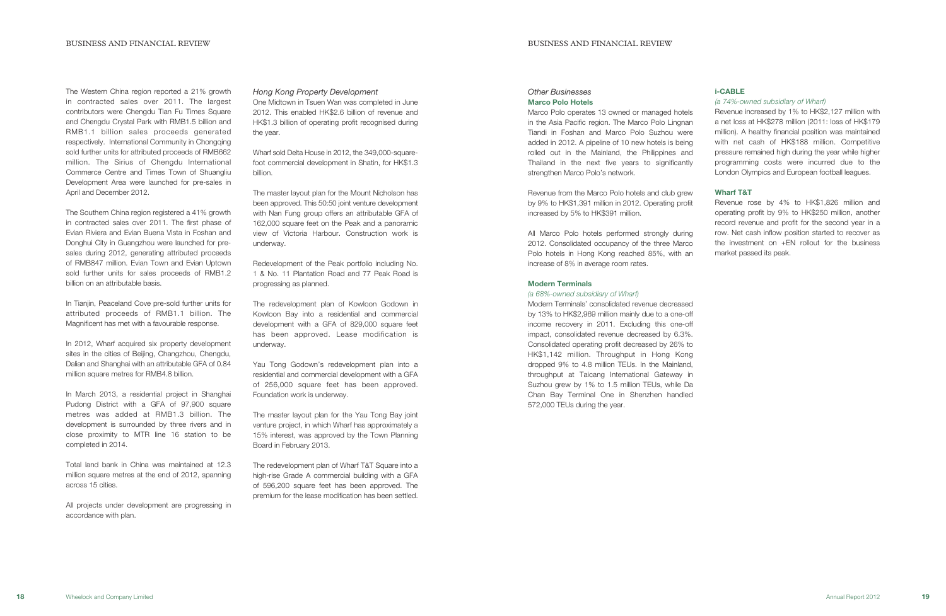The Western China region reported a 21% growth in contracted sales over 2011. The largest contributors were Chengdu Tian Fu Times Square and Chengdu Crystal Park with RMB1.5 billion and RMB1.1 billion sales proceeds generated respectively. International Community in Chongqing sold further units for attributed proceeds of RMB662 million. The Sirius of Chengdu International Commerce Centre and Times Town of Shuangliu Development Area were launched for pre-sales in April and December 2012.

The Southern China region registered a 41% growth in contracted sales over 2011. The first phase of Evian Riviera and Evian Buena Vista in Foshan and Donghui City in Guangzhou were launched for presales during 2012, generating attributed proceeds of RMB847 million. Evian Town and Evian Uptown sold further units for sales proceeds of RMB1.2 billion on an attributable basis.

In Tianjin, Peaceland Cove pre-sold further units for attributed proceeds of RMB1.1 billion. The Magnificent has met with a favourable response.

In 2012, Wharf acquired six property development sites in the cities of Beijing, Changzhou, Chengdu, Dalian and Shanghai with an attributable GFA of 0.84 million square metres for RMB4.8 billion.

In March 2013, a residential project in Shanghai Pudong District with a GFA of 97,900 square metres was added at RMB1.3 billion. The development is surrounded by three rivers and in close proximity to MTR line 16 station to be completed in 2014.

Total land bank in China was maintained at 12.3 million square metres at the end of 2012, spanning across 15 cities.

All projects under development are progressing in accordance with plan.

# Other Businesses Marco Polo Hotels

Marco Polo operates 13 owned or managed hotels in the Asia Pacific region. The Marco Polo Lingnan Tiandi in Foshan and Marco Polo Suzhou were added in 2012. A pipeline of 10 new hotels is being rolled out in the Mainland, the Philippines and Thailand in the next five years to significantly strengthen Marco Polo's network.

Revenue from the Marco Polo hotels and club grew by 9% to HK\$1,391 million in 2012. Operating profit increased by 5% to HK\$391 million.

All Marco Polo hotels performed strongly during 2012. Consolidated occupancy of the three Marco Polo hotels in Hong Kong reached 85%, with an increase of 8% in average room rates.

# Modern Terminals

#### (a 68%-owned subsidiary of Wharf)

Modern Terminals' consolidated revenue decreased by 13% to HK\$2,969 million mainly due to a one-off income recovery in 2011. Excluding this one-off impact, consolidated revenue decreased by 6.3%. Consolidated operating profit decreased by 26% to HK\$1,142 million. Throughput in Hong Kong dropped 9% to 4.8 million TEUs. In the Mainland, throughput at Taicang International Gateway in Suzhou grew by 1% to 1.5 million TEUs, while Da Chan Bay Terminal One in Shenzhen handled 572,000 TEUs during the year.

# i-CABLE

### (a 74%-owned subsidiary of Wharf)

Revenue increased by 1% to HK\$2,127 million with a net loss at HK\$278 million (2011: loss of HK\$179 million). A healthy financial position was maintained with net cash of HK\$188 million. Competitive pressure remained high during the year while higher programming costs were incurred due to the London Olympics and European football leagues.

### Wharf T&T

Revenue rose by 4% to HK\$1,826 million and operating profit by 9% to HK\$250 million, another record revenue and profit for the second year in a row. Net cash inflow position started to recover as the investment on +EN rollout for the business market passed its peak.

### Hong Kong Property Development

One Midtown in Tsuen Wan was completed in June 2012. This enabled HK\$2.6 billion of revenue and HK\$1.3 billion of operating profit recognised during the year.

Wharf sold Delta House in 2012, the 349,000-squarefoot commercial development in Shatin, for HK\$1.3 billion.

The master layout plan for the Mount Nicholson has been approved. This 50:50 joint venture development with Nan Fung group offers an attributable GFA of 162,000 square feet on the Peak and a panoramic view of Victoria Harbour. Construction work is underway.

Redevelopment of the Peak portfolio including No. 1 & No. 11 Plantation Road and 77 Peak Road is progressing as planned.

The redevelopment plan of Kowloon Godown in Kowloon Bay into a residential and commercial development with a GFA of 829,000 square feet has been approved. Lease modification is underway.

Yau Tong Godown's redevelopment plan into a residential and commercial development with a GFA of 256,000 square feet has been approved. Foundation work is underway.

The master layout plan for the Yau Tong Bay joint venture project, in which Wharf has approximately a 15% interest, was approved by the Town Planning Board in February 2013.

The redevelopment plan of Wharf T&T Square into a high-rise Grade A commercial building with a GFA of 596,200 square feet has been approved. The premium for the lease modification has been settled.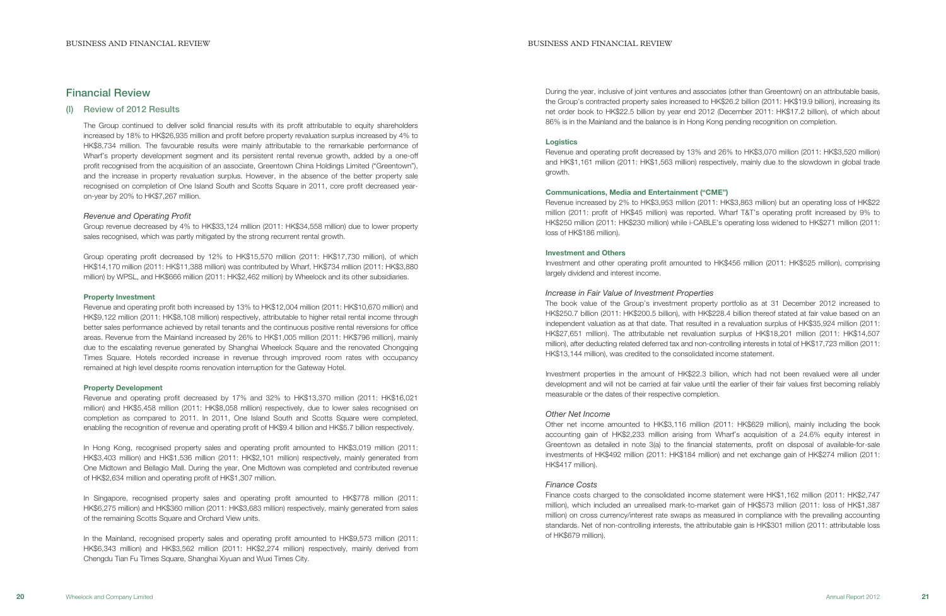During the year, inclusive of joint ventures and associates (other than Greentown) on an attributable basis, the Group's contracted property sales increased to HK\$26.2 billion (2011: HK\$19.9 billion), increasing its net order book to HK\$22.5 billion by year end 2012 (December 2011: HK\$17.2 billion), of which about 86% is in the Mainland and the balance is in Hong Kong pending recognition on completion.

#### **Logistics**

Revenue and operating profit decreased by 13% and 26% to HK\$3,070 million (2011: HK\$3,520 million) and HK\$1,161 million (2011: HK\$1,563 million) respectively, mainly due to the slowdown in global trade growth.

#### Communications, Media and Entertainment ("CME")

Revenue increased by 2% to HK\$3,953 million (2011: HK\$3,863 million) but an operating loss of HK\$22 million (2011: profit of HK\$45 million) was reported. Wharf T&T's operating profit increased by 9% to HK\$250 million (2011: HK\$230 million) while i-CABLE's operating loss widened to HK\$271 million (2011: loss of HK\$186 million).

#### Investment and Others

Investment and other operating profit amounted to HK\$456 million (2011: HK\$525 million), comprising largely dividend and interest income.

Increase in Fair Value of Investment Properties The book value of the Group's investment property portfolio as at 31 December 2012 increased to HK\$250.7 billion (2011: HK\$200.5 billion), with HK\$228.4 billion thereof stated at fair value based on an independent valuation as at that date. That resulted in a revaluation surplus of HK\$35,924 million (2011: HK\$27,651 million). The attributable net revaluation surplus of HK\$18,201 million (2011: HK\$14,507 million), after deducting related deferred tax and non-controlling interests in total of HK\$17,723 million (2011: HK\$13,144 million), was credited to the consolidated income statement.

Investment properties in the amount of HK\$22.3 billion, which had not been revalued were all under development and will not be carried at fair value until the earlier of their fair values first becoming reliably measurable or the dates of their respective completion.

#### Other Net Income

Other net income amounted to HK\$3,116 million (2011: HK\$629 million), mainly including the book accounting gain of HK\$2,233 million arising from Wharf's acquisition of a 24.6% equity interest in Greentown as detailed in note 3(a) to the financial statements, profit on disposal of available-for-sale investments of HK\$492 million (2011: HK\$184 million) and net exchange gain of HK\$274 million (2011: HK\$417 million).

Revenue and operating profit decreased by 17% and 32% to HK\$13,370 million (2011: HK\$16,021 million) and HK\$5,458 million (2011: HK\$8,058 million) respectively, due to lower sales recognised on completion as compared to 2011. In 2011, One Island South and Scotts Square were completed, enabling the recognition of revenue and operating profit of HK\$9.4 billion and HK\$5.7 billion respectively.

# Finance Costs

Finance costs charged to the consolidated income statement were HK\$1,162 million (2011: HK\$2,747 million), which included an unrealised mark-to-market gain of HK\$573 million (2011: loss of HK\$1,387 million) on cross currency/interest rate swaps as measured in compliance with the prevailing accounting standards. Net of non-controlling interests, the attributable gain is HK\$301 million (2011: attributable loss of HK\$679 million).

# Financial Review

(I) Review of 2012 Results

The Group continued to deliver solid financial results with its profit attributable to equity shareholders increased by 18% to HK\$26,935 million and profit before property revaluation surplus increased by 4% to HK\$8,734 million. The favourable results were mainly attributable to the remarkable performance of Wharf's property development segment and its persistent rental revenue growth, added by a one-off profit recognised from the acquisition of an associate, Greentown China Holdings Limited ("Greentown"), and the increase in property revaluation surplus. However, in the absence of the better property sale recognised on completion of One Island South and Scotts Square in 2011, core profit decreased yearon-year by 20% to HK\$7,267 million.

# Revenue and Operating Profit

Group revenue decreased by 4% to HK\$33,124 million (2011: HK\$34,558 million) due to lower property sales recognised, which was partly mitigated by the strong recurrent rental growth.

Group operating profit decreased by 12% to HK\$15,570 million (2011: HK\$17,730 million), of which HK\$14,170 million (2011: HK\$11,388 million) was contributed by Wharf, HK\$734 million (2011: HK\$3,880 million) by WPSL, and HK\$666 million (2011: HK\$2,462 million) by Wheelock and its other subsidiaries.

#### Property Investment

Revenue and operating profit both increased by 13% to HK\$12,004 million (2011: HK\$10,670 million) and HK\$9,122 million (2011: HK\$8,108 million) respectively, attributable to higher retail rental income through better sales performance achieved by retail tenants and the continuous positive rental reversions for office areas. Revenue from the Mainland increased by 26% to HK\$1,005 million (2011: HK\$796 million), mainly due to the escalating revenue generated by Shanghai Wheelock Square and the renovated Chongqing Times Square. Hotels recorded increase in revenue through improved room rates with occupancy remained at high level despite rooms renovation interruption for the Gateway Hotel.

#### Property Development

In Hong Kong, recognised property sales and operating profit amounted to HK\$3,019 million (2011: HK\$3,403 million) and HK\$1,536 million (2011: HK\$2,101 million) respectively, mainly generated from One Midtown and Bellagio Mall. During the year, One Midtown was completed and contributed revenue of HK\$2,634 million and operating profit of HK\$1,307 million.

In Singapore, recognised property sales and operating profit amounted to HK\$778 million (2011: HK\$6,275 million) and HK\$360 million (2011: HK\$3,683 million) respectively, mainly generated from sales of the remaining Scotts Square and Orchard View units.

In the Mainland, recognised property sales and operating profit amounted to HK\$9,573 million (2011: HK\$6,343 million) and HK\$3,562 million (2011: HK\$2,274 million) respectively, mainly derived from Chengdu Tian Fu Times Square, Shanghai Xiyuan and Wuxi Times City.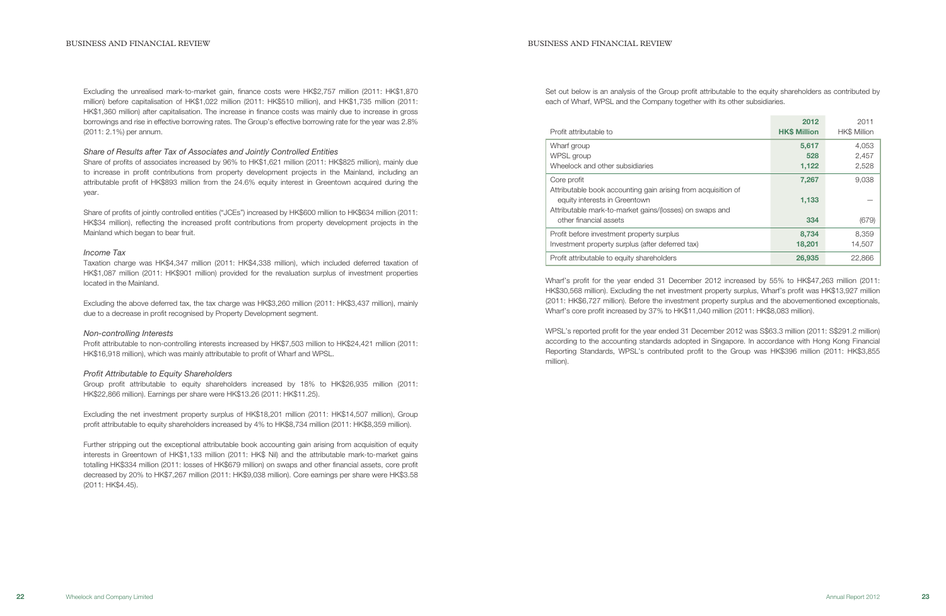Set out below is an analysis of the Group profit attributable to the equity shareholders as contributed by each of Wharf, WPSL and the Company together with its other subsidiaries.

| Profit attributable to                                                                                                                                                   | 2012<br><b>HK\$ Million</b> | 2011<br><b>HK\$ Million</b> |
|--------------------------------------------------------------------------------------------------------------------------------------------------------------------------|-----------------------------|-----------------------------|
| Wharf group<br>WPSL group<br>Wheelock and other subsidiaries                                                                                                             | 5,617<br>528<br>1,122       | 4,053<br>2,457<br>2,528     |
| Core profit<br>Attributable book accounting gain arising from acquisition of<br>equity interests in Greentown<br>Attributable mark-to-market gains/(losses) on swaps and | 7,267<br>1,133              | 9,038                       |
| other financial assets                                                                                                                                                   | 334                         | (679)                       |
| Profit before investment property surplus<br>Investment property surplus (after deferred tax)                                                                            | 8,734<br>18,201             | 8,359<br>14,507             |
| Profit attributable to equity shareholders                                                                                                                               | 26,935                      | 22,866                      |

Wharf's profit for the year ended 31 December 2012 increased by 55% to HK\$47,263 million (2011: HK\$30,568 million). Excluding the net investment property surplus, Wharf's profit was HK\$13,927 million (2011: HK\$6,727 million). Before the investment property surplus and the abovementioned exceptionals, Wharf's core profit increased by 37% to HK\$11,040 million (2011: HK\$8,083 million).

WPSL's reported profit for the year ended 31 December 2012 was S\$63.3 million (2011: S\$291.2 million) according to the accounting standards adopted in Singapore. In accordance with Hong Kong Financial Reporting Standards, WPSL's contributed profit to the Group was HK\$396 million (2011: HK\$3,855 million).

Excluding the net investment property surplus of HK\$18,201 million (2011: HK\$14,507 million), Group profit attributable to equity shareholders increased by 4% to HK\$8,734 million (2011: HK\$8,359 million).

Excluding the unrealised mark-to-market gain, finance costs were HK\$2,757 million (2011: HK\$1,870 million) before capitalisation of HK\$1,022 million (2011: HK\$510 million), and HK\$1,735 million (2011: HK\$1,360 million) after capitalisation. The increase in finance costs was mainly due to increase in gross borrowings and rise in effective borrowing rates. The Group's effective borrowing rate for the year was 2.8% (2011: 2.1%) per annum.

### Share of Results after Tax of Associates and Jointly Controlled Entities

Share of profits of associates increased by 96% to HK\$1,621 million (2011: HK\$825 million), mainly due to increase in profit contributions from property development projects in the Mainland, including an attributable profit of HK\$893 million from the 24.6% equity interest in Greentown acquired during the year.

Share of profits of jointly controlled entities ("JCEs") increased by HK\$600 million to HK\$634 million (2011: HK\$34 million), reflecting the increased profit contributions from property development projects in the Mainland which began to bear fruit.

### Income Tax

Taxation charge was HK\$4,347 million (2011: HK\$4,338 million), which included deferred taxation of HK\$1,087 million (2011: HK\$901 million) provided for the revaluation surplus of investment properties located in the Mainland.

Excluding the above deferred tax, the tax charge was HK\$3,260 million (2011: HK\$3,437 million), mainly due to a decrease in profit recognised by Property Development segment.

# Non-controlling Interests

Profit attributable to non-controlling interests increased by HK\$7,503 million to HK\$24,421 million (2011: HK\$16,918 million), which was mainly attributable to profit of Wharf and WPSL.

# Profit Attributable to Equity Shareholders

Group profit attributable to equity shareholders increased by 18% to HK\$26,935 million (2011: HK\$22,866 million). Earnings per share were HK\$13.26 (2011: HK\$11.25).

Further stripping out the exceptional attributable book accounting gain arising from acquisition of equity interests in Greentown of HK\$1,133 million (2011: HK\$ Nil) and the attributable mark-to-market gains totalling HK\$334 million (2011: losses of HK\$679 million) on swaps and other financial assets, core profit decreased by 20% to HK\$7,267 million (2011: HK\$9,038 million). Core earnings per share were HK\$3.58 (2011: HK\$4.45).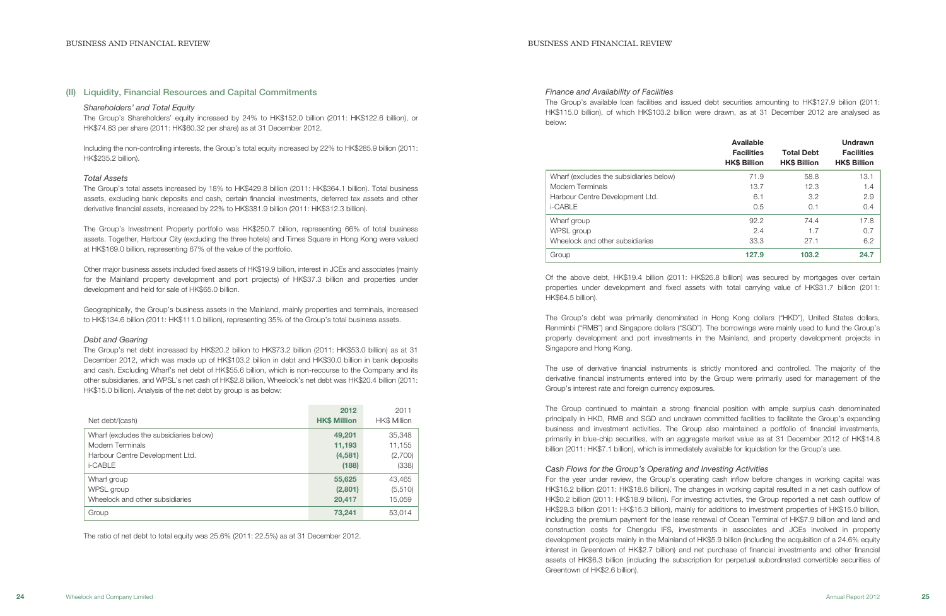### Finance and Availability of Facilities

The Group's available loan facilities and issued debt securities amounting to HK\$127.9 billion (2011: HK\$115.0 billion), of which HK\$103.2 billion were drawn, as at 31 December 2012 are analysed as below:

|                                         | <b>Available</b><br><b>Facilities</b><br><b>HK\$ Billion</b> | <b>Total Debt</b><br><b>HK\$ Billion</b> | <b>Undrawn</b><br><b>Facilities</b><br><b>HK\$ Billion</b> |
|-----------------------------------------|--------------------------------------------------------------|------------------------------------------|------------------------------------------------------------|
| Wharf (excludes the subsidiaries below) | 71.9                                                         | 58.8                                     | 13.1                                                       |
| Modern Terminals                        | 13.7                                                         | 12.3                                     | 1.4                                                        |
| Harbour Centre Development Ltd.         | 6.1                                                          | 3.2                                      | 2.9                                                        |
| i-CABLE                                 | 0.5                                                          | 0.1                                      | 0.4                                                        |
| Wharf group                             | 92.2                                                         | 74.4                                     | 17.8                                                       |
| WPSL group                              | 2.4                                                          | 1.7                                      | 0.7                                                        |
| Wheelock and other subsidiaries         | 33.3                                                         | 27.1                                     | 6.2                                                        |
| Group                                   | 127.9                                                        | 103.2                                    | 24.7                                                       |

Of the above debt, HK\$19.4 billion (2011: HK\$26.8 billion) was secured by mortgages over certain properties under development and fixed assets with total carrying value of HK\$31.7 billion (2011: HK\$64.5 billion).

The Group's debt was primarily denominated in Hong Kong dollars ("HKD"), United States dollars, Renminbi ("RMB") and Singapore dollars ("SGD"). The borrowings were mainly used to fund the Group's property development and port investments in the Mainland, and property development projects in Singapore and Hong Kong.

The use of derivative financial instruments is strictly monitored and controlled. The majority of the derivative financial instruments entered into by the Group were primarily used for management of the Group's interest rate and foreign currency exposures.

The Group continued to maintain a strong financial position with ample surplus cash denominated principally in HKD, RMB and SGD and undrawn committed facilities to facilitate the Group's expanding business and investment activities. The Group also maintained a portfolio of financial investments, primarily in blue-chip securities, with an aggregate market value as at 31 December 2012 of HK\$14.8 billion (2011: HK\$7.1 billion), which is immediately available for liquidation for the Group's use.

Cash Flows for the Group's Operating and Investing Activities For the year under review, the Group's operating cash inflow before changes in working capital was HK\$16.2 billion (2011: HK\$18.6 billion). The changes in working capital resulted in a net cash outflow of HK\$0.2 billion (2011: HK\$18.9 billion). For investing activities, the Group reported a net cash outflow of HK\$28.3 billion (2011: HK\$15.3 billion), mainly for additions to investment properties of HK\$15.0 billion, including the premium payment for the lease renewal of Ocean Terminal of HK\$7.9 billion and land and construction costs for Chengdu IFS, investments in associates and JCEs involved in property development projects mainly in the Mainland of HK\$5.9 billion (including the acquisition of a 24.6% equity interest in Greentown of HK\$2.7 billion) and net purchase of financial investments and other financial assets of HK\$6.3 billion (including the subscription for perpetual subordinated convertible securities of Greentown of HK\$2.6 billion).

# (II) Liquidity, Financial Resources and Capital Commitments

### Shareholders' and Total Equity

The Group's Shareholders' equity increased by 24% to HK\$152.0 billion (2011: HK\$122.6 billion), or HK\$74.83 per share (2011: HK\$60.32 per share) as at 31 December 2012.

Including the non-controlling interests, the Group's total equity increased by 22% to HK\$285.9 billion (2011: HK\$235.2 billion).

#### Total Assets

The Group's total assets increased by 18% to HK\$429.8 billion (2011: HK\$364.1 billion). Total business assets, excluding bank deposits and cash, certain financial investments, deferred tax assets and other derivative financial assets, increased by 22% to HK\$381.9 billion (2011: HK\$312.3 billion).

The Group's Investment Property portfolio was HK\$250.7 billion, representing 66% of total business assets. Together, Harbour City (excluding the three hotels) and Times Square in Hong Kong were valued at HK\$169.0 billion, representing 67% of the value of the portfolio.

Other major business assets included fixed assets of HK\$19.9 billion, interest in JCEs and associates (mainly for the Mainland property development and port projects) of HK\$37.3 billion and properties under development and held for sale of HK\$65.0 billion.

Geographically, the Group's business assets in the Mainland, mainly properties and terminals, increased to HK\$134.6 billion (2011: HK\$111.0 billion), representing 35% of the Group's total business assets.

#### Debt and Gearing

The Group's net debt increased by HK\$20.2 billion to HK\$73.2 billion (2011: HK\$53.0 billion) as at 31 December 2012, which was made up of HK\$103.2 billion in debt and HK\$30.0 billion in bank deposits and cash. Excluding Wharf's net debt of HK\$55.6 billion, which is non-recourse to the Company and its other subsidiaries, and WPSL's net cash of HK\$2.8 billion, Wheelock's net debt was HK\$20.4 billion (2011: HK\$15.0 billion). Analysis of the net debt by group is as below:

| Net debt/(cash)                         | 2012<br><b>HK\$ Million</b> | 2011<br><b>HK\$ Million</b> |
|-----------------------------------------|-----------------------------|-----------------------------|
| Wharf (excludes the subsidiaries below) | 49,201                      | 35,348                      |
| <b>Modern Terminals</b>                 | 11,193                      | 11,155                      |
| Harbour Centre Development Ltd.         | (4,581)                     | (2,700)                     |
| i-CABLE                                 | (188)                       | (338)                       |
| Wharf group                             | 55,625                      | 43,465                      |
| WPSL group                              | (2,801)                     | (5,510)                     |
| Wheelock and other subsidiaries         | 20,417                      | 15,059                      |
| Group                                   | 73,241                      | 53.014                      |

The ratio of net debt to total equity was 25.6% (2011: 22.5%) as at 31 December 2012.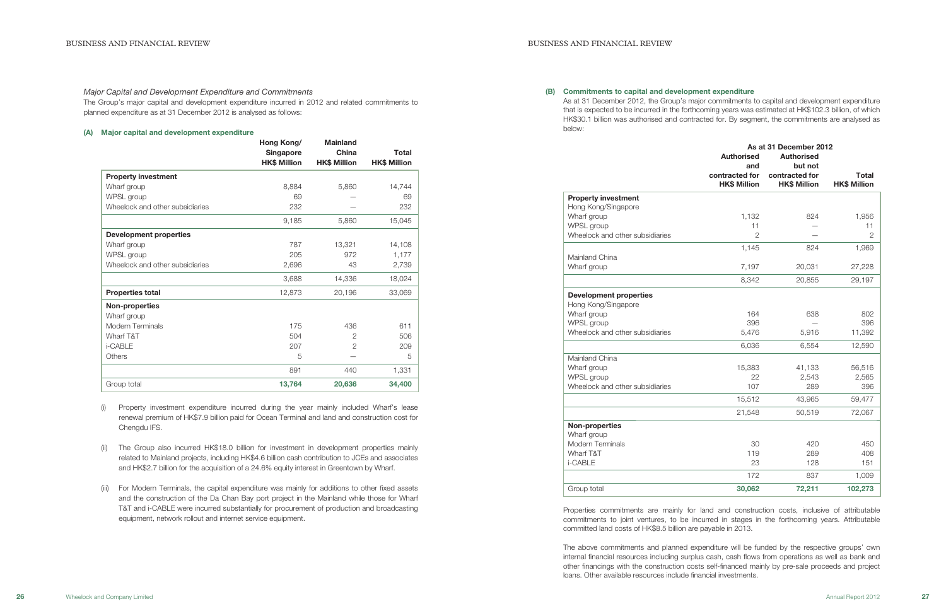(B) Commitments to capital and development expenditure As at 31 December 2012, the Group's major commitments to capital and development expenditure that is expected to be incurred in the forthcoming years was estimated at HK\$102.3 billion, of which HK\$30.1 billion was authorised and contracted for. By segment, the commitments are analysed as below:

| <b>Property investment</b>      |
|---------------------------------|
| Hong Kong/Singapore             |
| Wharf group                     |
| WPSL group                      |
| Wheelock and other subsidiaries |
|                                 |
| Mainland China                  |
| Wharf group                     |
|                                 |
| Development properties          |
| Hong Kong/Singapore             |
| Wharf group                     |
| WPSL group                      |
| Wheelock and other subsidiaries |
|                                 |
| $M$ oinland Ohina               |

|                                 | As at 31 December 2012 |                     |                     |
|---------------------------------|------------------------|---------------------|---------------------|
|                                 | <b>Authorised</b>      | <b>Authorised</b>   |                     |
|                                 | and                    | but not             |                     |
|                                 | contracted for         | contracted for      | <b>Total</b>        |
|                                 | <b>HK\$ Million</b>    | <b>HK\$ Million</b> | <b>HK\$ Million</b> |
| <b>Property investment</b>      |                        |                     |                     |
| Hong Kong/Singapore             |                        |                     |                     |
| Wharf group                     | 1,132                  | 824                 | 1,956               |
| WPSL group                      | 11                     |                     | 11                  |
| Wheelock and other subsidiaries | $\overline{2}$         |                     | $\mathbf{2}$        |
|                                 | 1,145                  | 824                 | 1,969               |
| Mainland China                  |                        |                     |                     |
| Wharf group                     | 7,197                  | 20,031              | 27,228              |
|                                 | 8,342                  | 20,855              | 29,197              |
| <b>Development properties</b>   |                        |                     |                     |
| Hong Kong/Singapore             |                        |                     |                     |
| Wharf group                     | 164                    | 638                 | 802                 |
| WPSL group                      | 396                    |                     | 396                 |
| Wheelock and other subsidiaries | 5,476                  | 5,916               | 11,392              |
|                                 | 6,036                  | 6,554               | 12,590              |
| Mainland China                  |                        |                     |                     |
| Wharf group                     | 15,383                 | 41,133              | 56,516              |
| WPSL group                      | 22                     | 2,543               | 2,565               |
| Wheelock and other subsidiaries | 107                    | 289                 | 396                 |
|                                 | 15,512                 | 43,965              | 59,477              |
|                                 | 21,548                 | 50,519              | 72,067              |
| <b>Non-properties</b>           |                        |                     |                     |
| Wharf group                     |                        |                     |                     |
| Modern Terminals                | 30                     | 420                 | 450                 |
| Wharf T&T                       | 119                    | 289                 | 408                 |
| i-CABLE                         | 23                     | 128                 | 151                 |
|                                 | 172                    | 837                 | 1,009               |
| Group total                     | 30,062                 | 72,211              | 102,273             |

# Non-properties

Properties commitments are mainly for land and construction costs, inclusive of attributable commitments to joint ventures, to be incurred in stages in the forthcoming years. Attributable committed land costs of HK\$8.5 billion are payable in 2013.

The above commitments and planned expenditure will be funded by the respective groups' own internal financial resources including surplus cash, cash flows from operations as well as bank and other financings with the construction costs self-financed mainly by pre-sale proceeds and project loans. Other available resources include financial investments.

#### Major Capital and Development Expenditure and Commitments

The Group's major capital and development expenditure incurred in 2012 and related commitments to planned expenditure as at 31 December 2012 is analysed as follows:

# (A) Major capital and development expenditure

|                                 | Hong Kong/          | <b>Mainland</b><br>China<br><b>HK\$ Million</b> | <b>Total</b><br><b>HK\$ Million</b> |
|---------------------------------|---------------------|-------------------------------------------------|-------------------------------------|
|                                 | <b>Singapore</b>    |                                                 |                                     |
|                                 | <b>HK\$ Million</b> |                                                 |                                     |
| <b>Property investment</b>      |                     |                                                 |                                     |
| Wharf group                     | 8,884               | 5,860                                           | 14,744                              |
| WPSL group                      | 69                  |                                                 | 69                                  |
| Wheelock and other subsidiaries | 232                 |                                                 | 232                                 |
|                                 | 9,185               | 5,860                                           | 15,045                              |
| <b>Development properties</b>   |                     |                                                 |                                     |
| Wharf group                     | 787                 | 13,321                                          | 14,108                              |
| WPSL group                      | 205                 | 972                                             | 1,177                               |
| Wheelock and other subsidiaries | 2,696               | 43                                              | 2,739                               |
|                                 | 3,688               | 14,336                                          | 18,024                              |
| <b>Properties total</b>         | 12,873              | 20,196                                          | 33,069                              |
| <b>Non-properties</b>           |                     |                                                 |                                     |
| Wharf group                     |                     |                                                 |                                     |
| <b>Modern Terminals</b>         | 175                 | 436                                             | 611                                 |
| Wharf T&T                       | 504                 | 2                                               | 506                                 |
| i-CABLE                         | 207                 | $\mathbf{2}$                                    | 209                                 |
| Others                          | 5                   |                                                 | 5                                   |
|                                 | 891                 | 440                                             | 1,331                               |
| Group total                     | 13,764              | 20,636                                          | 34,400                              |

- (i) Property investment expenditure incurred during the year mainly included Wharf's lease renewal premium of HK\$7.9 billion paid for Ocean Terminal and land and construction cost for Chengdu IFS.
- (ii) The Group also incurred HK\$18.0 billion for investment in development properties mainly related to Mainland projects, including HK\$4.6 billion cash contribution to JCEs and associates and HK\$2.7 billion for the acquisition of a 24.6% equity interest in Greentown by Wharf.
- (iii) For Modern Terminals, the capital expenditure was mainly for additions to other fixed assets and the construction of the Da Chan Bay port project in the Mainland while those for Wharf T&T and i-CABLE were incurred substantially for procurement of production and broadcasting equipment, network rollout and internet service equipment.